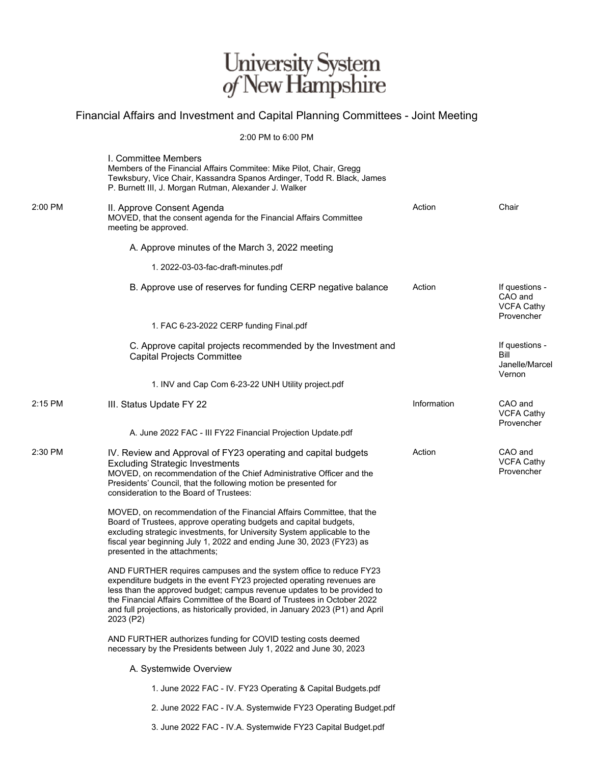## University System<br> $of$  New Hampshire

## Financial Affairs and Investment and Capital Planning Committees - Joint Meeting

## 2:00 PM to 6:00 PM

|         | I. Committee Members<br>Members of the Financial Affairs Commitee: Mike Pilot, Chair, Gregg                                                                                                                                                                                                                                                                                                        |             |                                                              |
|---------|----------------------------------------------------------------------------------------------------------------------------------------------------------------------------------------------------------------------------------------------------------------------------------------------------------------------------------------------------------------------------------------------------|-------------|--------------------------------------------------------------|
|         | Tewksbury, Vice Chair, Kassandra Spanos Ardinger, Todd R. Black, James<br>P. Burnett III, J. Morgan Rutman, Alexander J. Walker                                                                                                                                                                                                                                                                    |             |                                                              |
| 2:00 PM | II. Approve Consent Agenda<br>MOVED, that the consent agenda for the Financial Affairs Committee<br>meeting be approved.                                                                                                                                                                                                                                                                           | Action      | Chair                                                        |
|         | A. Approve minutes of the March 3, 2022 meeting                                                                                                                                                                                                                                                                                                                                                    |             |                                                              |
|         | 1. 2022-03-03-fac-draft-minutes.pdf                                                                                                                                                                                                                                                                                                                                                                |             |                                                              |
|         | B. Approve use of reserves for funding CERP negative balance                                                                                                                                                                                                                                                                                                                                       | Action      | If questions -<br>CAO and<br><b>VCFA Cathy</b><br>Provencher |
|         | 1. FAC 6-23-2022 CERP funding Final.pdf                                                                                                                                                                                                                                                                                                                                                            |             |                                                              |
|         | C. Approve capital projects recommended by the Investment and<br><b>Capital Projects Committee</b>                                                                                                                                                                                                                                                                                                 |             | If questions -<br>Bill<br>Janelle/Marcel<br>Vernon           |
|         | 1. INV and Cap Com 6-23-22 UNH Utility project.pdf                                                                                                                                                                                                                                                                                                                                                 |             |                                                              |
| 2:15 PM | III. Status Update FY 22                                                                                                                                                                                                                                                                                                                                                                           | Information | CAO and<br><b>VCFA Cathy</b><br>Provencher                   |
|         | A. June 2022 FAC - III FY22 Financial Projection Update.pdf                                                                                                                                                                                                                                                                                                                                        |             |                                                              |
| 2:30 PM | IV. Review and Approval of FY23 operating and capital budgets<br><b>Excluding Strategic Investments</b><br>MOVED, on recommendation of the Chief Administrative Officer and the<br>Presidents' Council, that the following motion be presented for<br>consideration to the Board of Trustees:                                                                                                      | Action      | CAO and<br><b>VCFA Cathy</b><br>Provencher                   |
|         | MOVED, on recommendation of the Financial Affairs Committee, that the<br>Board of Trustees, approve operating budgets and capital budgets,<br>excluding strategic investments, for University System applicable to the<br>fiscal year beginning July 1, 2022 and ending June 30, 2023 (FY23) as<br>presented in the attachments;                                                                   |             |                                                              |
|         | AND FURTHER requires campuses and the system office to reduce FY23<br>expenditure budgets in the event FY23 projected operating revenues are<br>less than the approved budget; campus revenue updates to be provided to<br>the Financial Affairs Committee of the Board of Trustees in October 2022<br>and full projections, as historically provided, in January 2023 (P1) and April<br>2023 (P2) |             |                                                              |
|         | AND FURTHER authorizes funding for COVID testing costs deemed<br>necessary by the Presidents between July 1, 2022 and June 30, 2023                                                                                                                                                                                                                                                                |             |                                                              |
|         | A. Systemwide Overview                                                                                                                                                                                                                                                                                                                                                                             |             |                                                              |
|         | 1. June 2022 FAC - IV. FY23 Operating & Capital Budgets.pdf                                                                                                                                                                                                                                                                                                                                        |             |                                                              |
|         | 2. June 2022 FAC - IV.A. Systemwide FY23 Operating Budget.pdf                                                                                                                                                                                                                                                                                                                                      |             |                                                              |
|         | 3. June 2022 FAC - IV.A. Systemwide FY23 Capital Budget.pdf                                                                                                                                                                                                                                                                                                                                        |             |                                                              |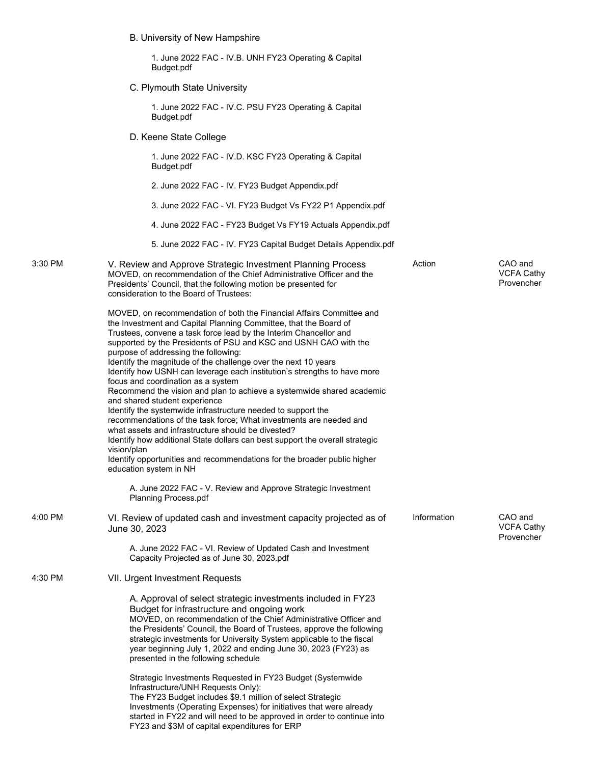B. University of New Hampshire C. Plymouth State University 1. June 2022 FAC - IV.D. KSC FY23 Operating & Capital Budget.pdf 2. June 2022 FAC - IV. FY23 Budget Appendix.pdf 3. June 2022 FAC - VI. FY23 Budget Vs FY22 P1 Appendix.pdf 4. June 2022 FAC - FY23 Budget Vs FY19 Actuals Appendix.pdf D. Keene State College 1. June 2022 FAC - IV.B. UNH FY23 Operating & Capital Budget.pdf 1. June 2022 FAC - IV.C. PSU FY23 Operating & Capital Budget.pdf 3:30 PM V. Review and Approve Strategic Investment Planning Process MOVED, on recommendation of the Chief Administrative Officer and the Presidents' Council, that the following motion be presented for consideration to the Board of Trustees: MOVED, on recommendation of both the Financial Affairs Committee and the Investment and Capital Planning Committee, that the Board of Trustees, convene a task force lead by the Interim Chancellor and supported by the Presidents of PSU and KSC and USNH CAO with the purpose of addressing the following: Identify the magnitude of the challenge over the next 10 years Identify how USNH can leverage each institution's strengths to have more focus and coordination as a system Recommend the vision and plan to achieve a systemwide shared academic and shared student experience Identify the systemwide infrastructure needed to support the recommendations of the task force; What investments are needed and what assets and infrastructure should be divested? Identify how additional State dollars can best support the overall strategic vision/plan Identify opportunities and recommendations for the broader public higher education system in NH Action CAO and 4:00 PM VI. Review of updated cash and investment capacity projected as of Information CAO and 5. June 2022 FAC - IV. FY23 Capital Budget Details Appendix.pdf A. June 2022 FAC - V. Review and Approve Strategic Investment Planning Process.pdf

June 30, 2023

A. June 2022 FAC - VI. Review of Updated Cash and Investment Capacity Projected as of June 30, 2023.pdf

4:30 PM VII. Urgent Investment Requests

A. Approval of select strategic investments included in FY23 Budget for infrastructure and ongoing work MOVED, on recommendation of the Chief Administrative Officer and the Presidents' Council, the Board of Trustees, approve the following strategic investments for University System applicable to the fiscal year beginning July 1, 2022 and ending June 30, 2023 (FY23) as presented in the following schedule

Strategic Investments Requested in FY23 Budget (Systemwide Infrastructure/UNH Requests Only): The FY23 Budget includes \$9.1 million of select Strategic Investments (Operating Expenses) for initiatives that were already started in FY22 and will need to be approved in order to continue into FY23 and \$3M of capital expenditures for ERP

VCFA Cathy Provencher

VCFA Cathy Provencher